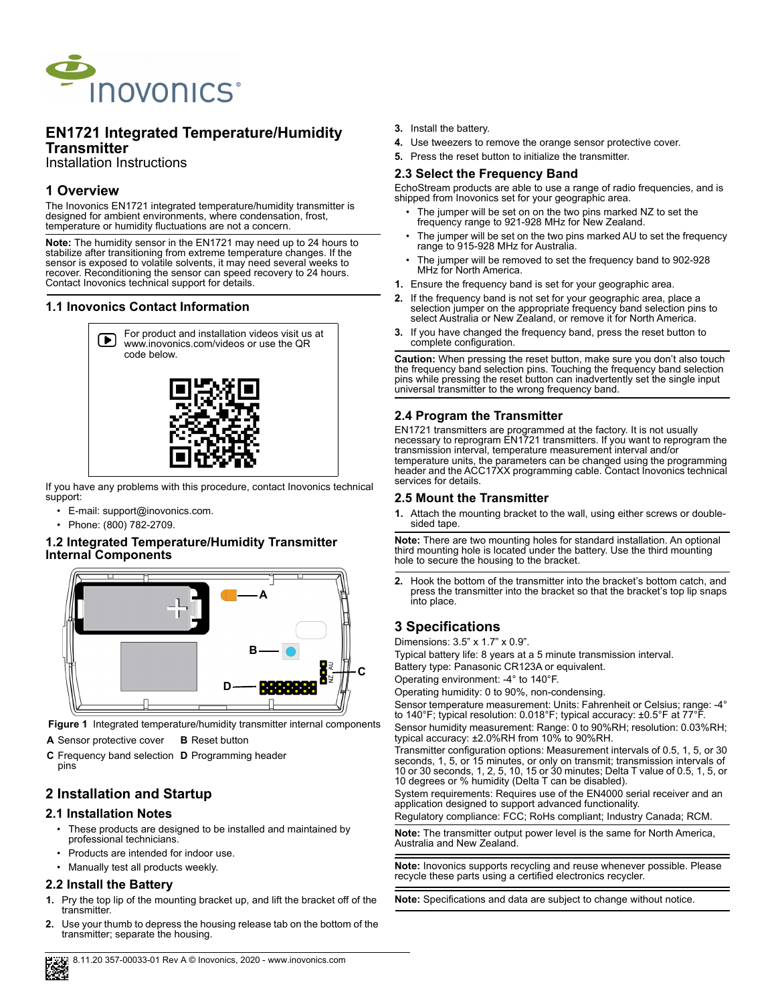

# **EN1721 Integrated Temperature/Humidity Transmitter**

Installation Instructions

# **1 Overview**

The Inovonics EN1721 integrated temperature/humidity transmitter is designed for ambient environments, where condensation, frost, temperature or humidity fluctuations are not a concern.

**Note:** The humidity sensor in the EN1721 may need up to 24 hours to stabilize after transitioning from extreme temperature changes. If the sensor is exposed to volatile solvents, it may need several weeks to recover. Reconditioning the sensor can speed recovery to 24 hours. Contact Inovonics technical support for details.

# **1.1 Inovonics Contact Information**



If you have any problems with this procedure, contact Inovonics technical support:

- E-mail: support@inovonics.com.
- Phone: (800) 782-2709.

### **1.2 Integrated Temperature/Humidity Transmitter Internal Components**



 **Figure 1** Integrated temperature/humidity transmitter internal components

**A** Sensor protective cover **B** Reset button

**C** Frequency band selection **D** Programming header pins

# **2 Installation and Startup**

### **2.1 Installation Notes**

- These products are designed to be installed and maintained by professional technicians.
- Products are intended for indoor use.
- Manually test all products weekly.

# **2.2 Install the Battery**

- **1.** Pry the top lip of the mounting bracket up, and lift the bracket off of the transmitter.
- **2.** Use your thumb to depress the housing release tab on the bottom of the transmitter; separate the housing.
- **3.** Install the battery.
- **4.** Use tweezers to remove the orange sensor protective cover.
- **5.** Press the reset button to initialize the transmitter.

## **2.3 Select the Frequency Band**

EchoStream products are able to use a range of radio frequencies, and is shipped from Inovonics set for your geographic area.

- The jumper will be set on on the two pins marked NZ to set the frequency range to 921-928 MHz for New Zealand.
- The jumper will be set on the two pins marked AU to set the frequency range to 915-928 MHz for Australia.
- The jumper will be removed to set the frequency band to 902-928 MHz for North America.
- **1.** Ensure the frequency band is set for your geographic area.
- **2.** If the frequency band is not set for your geographic area, place a selection jumper on the appropriate frequency band selection pins to select Australia or New Zealand, or remove it for North America.
- **3.** If you have changed the frequency band, press the reset button to complete configuration.

**Caution:** When pressing the reset button, make sure you don't also touch the frequency band selection pins. Touching the frequency band selection pins while pressing the reset button can inadvertently set the single input universal transmitter to the wrong frequency band.

### **2.4 Program the Transmitter**

EN1721 transmitters are programmed at the factory. It is not usually necessary to reprogram EN1721 transmitters. If you want to reprogram the transmission interval, temperature measurement interval and/or temperature units, the parameters can be changed using the programming header and the ACC17XX programming cable. Contact Inovonics technical services for details.

### **2.5 Mount the Transmitter**

**1.** Attach the mounting bracket to the wall, using either screws or doublesided tape.

**Note:** There are two mounting holes for standard installation. An optional third mounting hole is located under the battery. Use the third mounting hole to secure the housing to the bracket.

**2.** Hook the bottom of the transmitter into the bracket's bottom catch, and press the transmitter into the bracket so that the bracket's top lip snaps into place.

# **3 Specifications**

Dimensions: 3.5" x 1.7" x 0.9".

Typical battery life: 8 years at a 5 minute transmission interval.

Battery type: Panasonic CR123A or equivalent.

Operating environment: -4° to 140°F.

Operating humidity: 0 to 90%, non-condensing.

Sensor temperature measurement: Units: Fahrenheit or Celsius; range: -4° to 140°F; typical resolution: 0.018°F; typical accuracy: ±0.5°F at 77°F.

Sensor humidity measurement: Range: 0 to 90%RH; resolution: 0.03%RH; typical accuracy: ±2.0%RH from 10% to 90%RH.

Transmitter configuration options: Measurement intervals of 0.5, 1, 5, or 30 seconds, 1, 5, or 15 minutes, or only on transmit; transmission intervals of 10 or 30 seconds, 1, 2, 5, 10, 15 or 30 minutes; Delta T value of 0.5, 1, 5, or 10 degrees or % humidity (Delta T can be disabled).

System requirements: Requires use of the EN4000 serial receiver and an application designed to support advanced functionality.

Regulatory compliance: FCC; RoHs compliant; Industry Canada; RCM.

**Note:** The transmitter output power level is the same for North America, Australia and New Zealand.

**Note:** Inovonics supports recycling and reuse whenever possible. Please recycle these parts using a certified electronics recycler.

**Note:** Specifications and data are subject to change without notice.